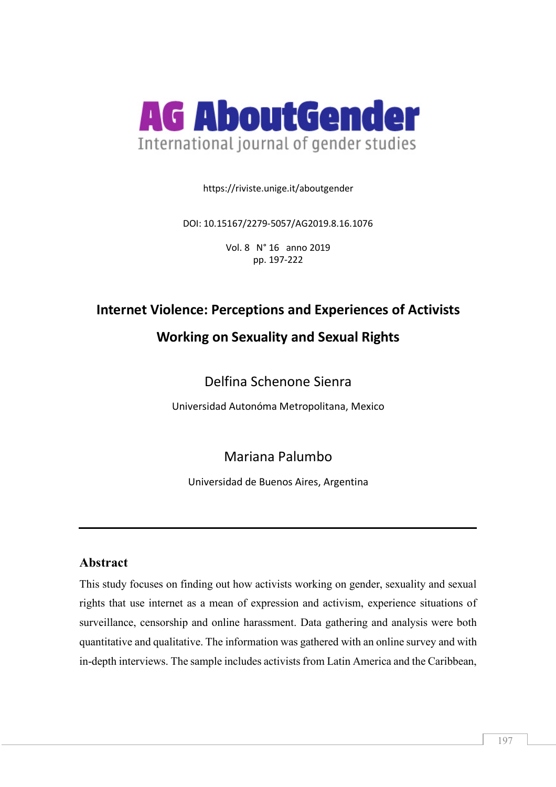

https://riviste.unige.it/aboutgender

DOI: 10.15167/2279-5057/AG2019.8.16.1076

Vol. 8 N° 16 anno 2019 pp. 197-222

# **Internet Violence: Perceptions and Experiences of Activists**

# **Working on Sexuality and Sexual Rights**

# Delfina Schenone Sienra

Universidad Autonóma Metropolitana, Mexico

# Mariana Palumbo

Universidad de Buenos Aires, Argentina

# **Abstract**

This study focuses on finding out how activists working on gender, sexuality and sexual rights that use internet as a mean of expression and activism, experience situations of surveillance, censorship and online harassment. Data gathering and analysis were both quantitative and qualitative. The information was gathered with an online survey and with in-depth interviews. The sample includes activists from Latin America and the Caribbean,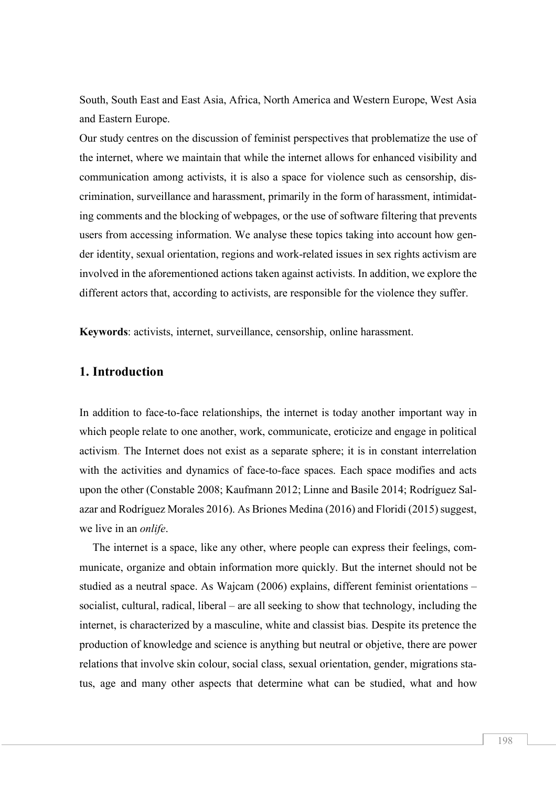South, South East and East Asia, Africa, North America and Western Europe, West Asia and Eastern Europe.

Our study centres on the discussion of feminist perspectives that problematize the use of the internet, where we maintain that while the internet allows for enhanced visibility and communication among activists, it is also a space for violence such as censorship, discrimination, surveillance and harassment, primarily in the form of harassment, intimidating comments and the blocking of webpages, or the use of software filtering that prevents users from accessing information. We analyse these topics taking into account how gender identity, sexual orientation, regions and work-related issues in sex rights activism are involved in the aforementioned actions taken against activists. In addition, we explore the different actors that, according to activists, are responsible for the violence they suffer.

**Keywords**: activists, internet, surveillance, censorship, online harassment.

## **1. Introduction**

In addition to face-to-face relationships, the internet is today another important way in which people relate to one another, work, communicate, eroticize and engage in political activism. The Internet does not exist as a separate sphere; it is in constant interrelation with the activities and dynamics of face-to-face spaces. Each space modifies and acts upon the other (Constable 2008; Kaufmann 2012; Linne and Basile 2014; Rodríguez Salazar and Rodríguez Morales 2016). As Briones Medina (2016) and Floridi (2015) suggest, we live in an *onlife*.

The internet is a space, like any other, where people can express their feelings, communicate, organize and obtain information more quickly. But the internet should not be studied as a neutral space. As Wajcam (2006) explains, different feminist orientations – socialist, cultural, radical, liberal – are all seeking to show that technology, including the internet, is characterized by a masculine, white and classist bias. Despite its pretence the production of knowledge and science is anything but neutral or objetive, there are power relations that involve skin colour, social class, sexual orientation, gender, migrations status, age and many other aspects that determine what can be studied, what and how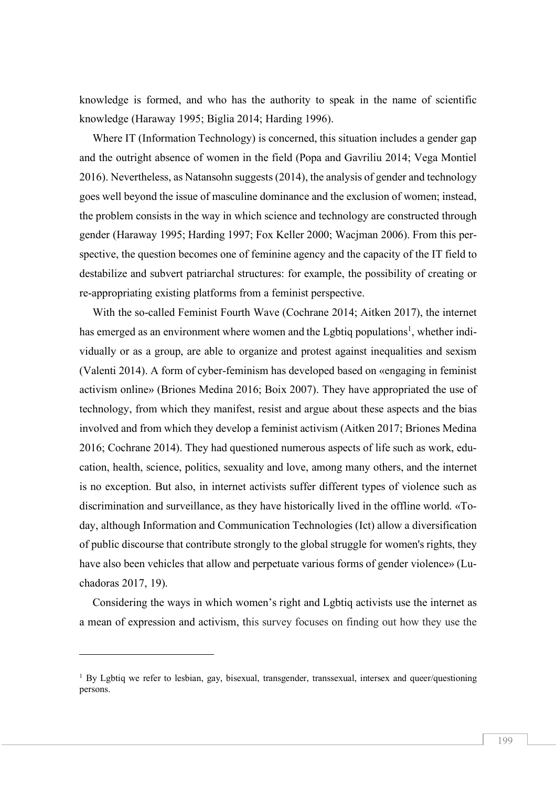knowledge is formed, and who has the authority to speak in the name of scientific knowledge (Haraway 1995; Biglia 2014; Harding 1996).

Where IT (Information Technology) is concerned, this situation includes a gender gap and the outright absence of women in the field (Popa and Gavriliu 2014; Vega Montiel 2016). Nevertheless, as Natansohn suggests (2014), the analysis of gender and technology goes well beyond the issue of masculine dominance and the exclusion of women; instead, the problem consists in the way in which science and technology are constructed through gender (Haraway 1995; Harding 1997; Fox Keller 2000; Wacjman 2006). From this perspective, the question becomes one of feminine agency and the capacity of the IT field to destabilize and subvert patriarchal structures: for example, the possibility of creating or re-appropriating existing platforms from a feminist perspective.

With the so-called Feminist Fourth Wave (Cochrane 2014; Aitken 2017), the internet has emerged as an environment where women and the Lgbtiq populations<sup>1</sup>, whether individually or as a group, are able to organize and protest against inequalities and sexism (Valenti 2014). A form of cyber-feminism has developed based on «engaging in feminist activism online» (Briones Medina 2016; Boix 2007). They have appropriated the use of technology, from which they manifest, resist and argue about these aspects and the bias involved and from which they develop a feminist activism (Aitken 2017; Briones Medina 2016; Cochrane 2014). They had questioned numerous aspects of life such as work, education, health, science, politics, sexuality and love, among many others, and the internet is no exception. But also, in internet activists suffer different types of violence such as discrimination and surveillance, as they have historically lived in the offline world. «Today, although Information and Communication Technologies (Ict) allow a diversification of public discourse that contribute strongly to the global struggle for women's rights, they have also been vehicles that allow and perpetuate various forms of gender violence» (Luchadoras 2017, 19).

Considering the ways in which women's right and Lgbtiq activists use the internet as a mean of expression and activism, this survey focuses on finding out how they use the

l

<sup>&</sup>lt;sup>1</sup> By Lgbtiq we refer to lesbian, gay, bisexual, transgender, transsexual, intersex and queer/questioning persons.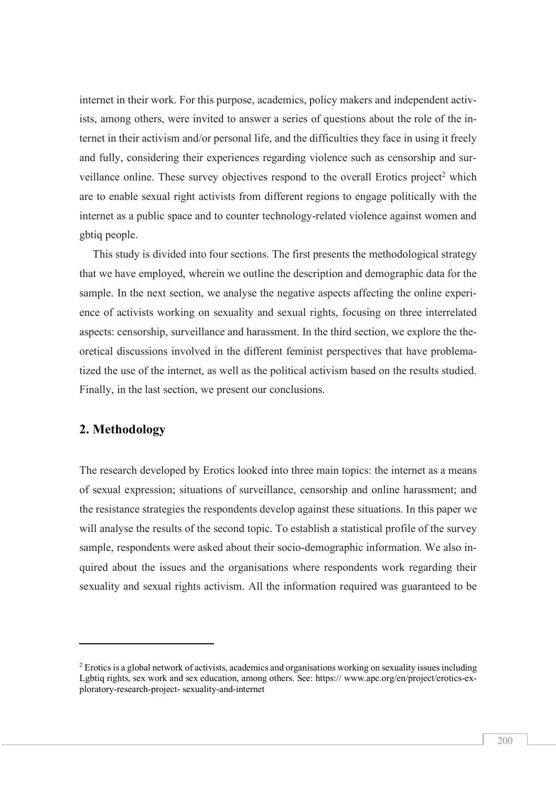internet in their work. For this purpose, academics, policy makers and independent activists, among others, were invited to answer a series of questions about the role of the internet in their activism and/or personal life, and the difficulties they face in using it freely and fully, considering their experiences regarding violence such as censorship and surveillance online. These survey objectives respond to the overall Erotics project<sup>2</sup> which are to enable sexual right activists from different regions to engage politically with the internet as a public space and to counter technology-related violence against women and gbtiq people.

This study is divided into four sections. The first presents the methodological strategy that we have employed, wherein we outline the description and demographic data for the sample. In the next section, we analyse the negative aspects affecting the online experience of activists working on sexuality and sexual rights, focusing on three interrelated aspects: censorship, surveillance and harassment. In the third section, we explore the theoretical discussions involved in the different feminist perspectives that have problematized the use of the internet, as well as the political activism based on the results studied. Finally, in the last section, we present our conclusions.

## **2. Methodology**

 $\overline{a}$ 

The research developed by Erotics looked into three main topics: the internet as a means of sexual expression; situations of surveillance, censorship and online harassment; and the resistance strategies the respondents develop against these situations. In this paper we will analyse the results of the second topic. To establish a statistical profile of the survey sample, respondents were asked about their socio-demographic information. We also inquired about the issues and the organisations where respondents work regarding their sexuality and sexual rights activism. All the information required was guaranteed to be

<sup>&</sup>lt;sup>2</sup> Erotics is a global network of activists, academics and organisations working on sexuality issues including Lgbtiq rights, sex work and sex education, among others. See: https:// www.apc.org/en/project/erotics-exploratory-research-project- sexuality-and-internet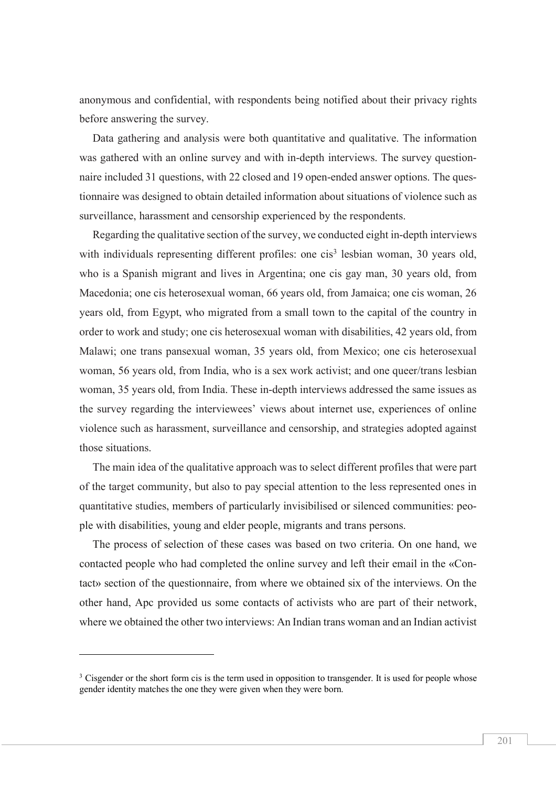anonymous and confidential, with respondents being notified about their privacy rights before answering the survey.

Data gathering and analysis were both quantitative and qualitative. The information was gathered with an online survey and with in-depth interviews. The survey questionnaire included 31 questions, with 22 closed and 19 open-ended answer options. The questionnaire was designed to obtain detailed information about situations of violence such as surveillance, harassment and censorship experienced by the respondents.

Regarding the qualitative section of the survey, we conducted eight in-depth interviews with individuals representing different profiles: one cis<sup>3</sup> lesbian woman, 30 years old, who is a Spanish migrant and lives in Argentina; one cis gay man, 30 years old, from Macedonia; one cis heterosexual woman, 66 years old, from Jamaica; one cis woman, 26 years old, from Egypt, who migrated from a small town to the capital of the country in order to work and study; one cis heterosexual woman with disabilities, 42 years old, from Malawi; one trans pansexual woman, 35 years old, from Mexico; one cis heterosexual woman, 56 years old, from India, who is a sex work activist; and one queer/trans lesbian woman, 35 years old, from India. These in-depth interviews addressed the same issues as the survey regarding the interviewees' views about internet use, experiences of online violence such as harassment, surveillance and censorship, and strategies adopted against those situations.

The main idea of the qualitative approach was to select different profiles that were part of the target community, but also to pay special attention to the less represented ones in quantitative studies, members of particularly invisibilised or silenced communities: people with disabilities, young and elder people, migrants and trans persons.

The process of selection of these cases was based on two criteria. On one hand, we contacted people who had completed the online survey and left their email in the «Contact» section of the questionnaire, from where we obtained six of the interviews. On the other hand, Apc provided us some contacts of activists who are part of their network, where we obtained the other two interviews: An Indian trans woman and an Indian activist

l

<sup>&</sup>lt;sup>3</sup> Cisgender or the short form cis is the term used in opposition to transgender. It is used for people whose gender identity matches the one they were given when they were born.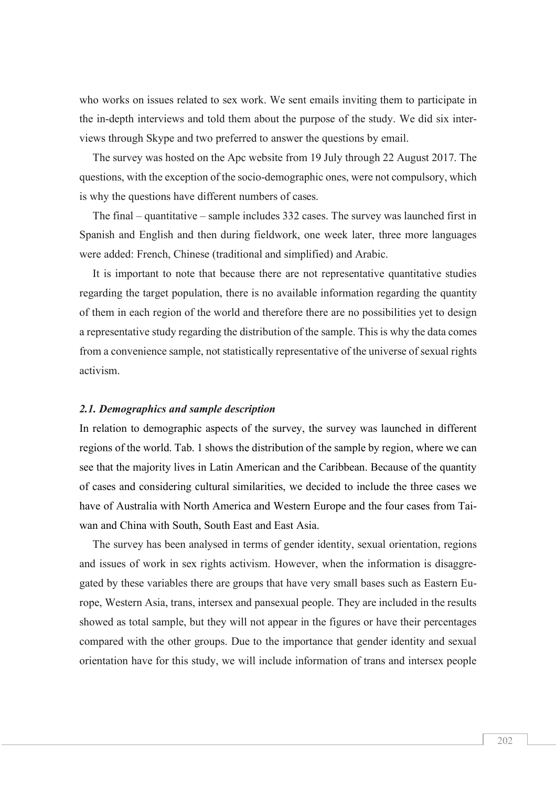who works on issues related to sex work. We sent emails inviting them to participate in the in-depth interviews and told them about the purpose of the study. We did six interviews through Skype and two preferred to answer the questions by email.

The survey was hosted on the Apc website from 19 July through 22 August 2017. The questions, with the exception of the socio-demographic ones, were not compulsory, which is why the questions have different numbers of cases.

The final – quantitative – sample includes 332 cases. The survey was launched first in Spanish and English and then during fieldwork, one week later, three more languages were added: French, Chinese (traditional and simplified) and Arabic.

It is important to note that because there are not representative quantitative studies regarding the target population, there is no available information regarding the quantity of them in each region of the world and therefore there are no possibilities yet to design a representative study regarding the distribution of the sample. This is why the data comes from a convenience sample, not statistically representative of the universe of sexual rights activism.

### *2.1. Demographics and sample description*

In relation to demographic aspects of the survey, the survey was launched in different regions of the world. Tab. 1 shows the distribution of the sample by region, where we can see that the majority lives in Latin American and the Caribbean. Because of the quantity of cases and considering cultural similarities, we decided to include the three cases we have of Australia with North America and Western Europe and the four cases from Taiwan and China with South, South East and East Asia.

The survey has been analysed in terms of gender identity, sexual orientation, regions and issues of work in sex rights activism. However, when the information is disaggregated by these variables there are groups that have very small bases such as Eastern Europe, Western Asia, trans, intersex and pansexual people. They are included in the results showed as total sample, but they will not appear in the figures or have their percentages compared with the other groups. Due to the importance that gender identity and sexual orientation have for this study, we will include information of trans and intersex people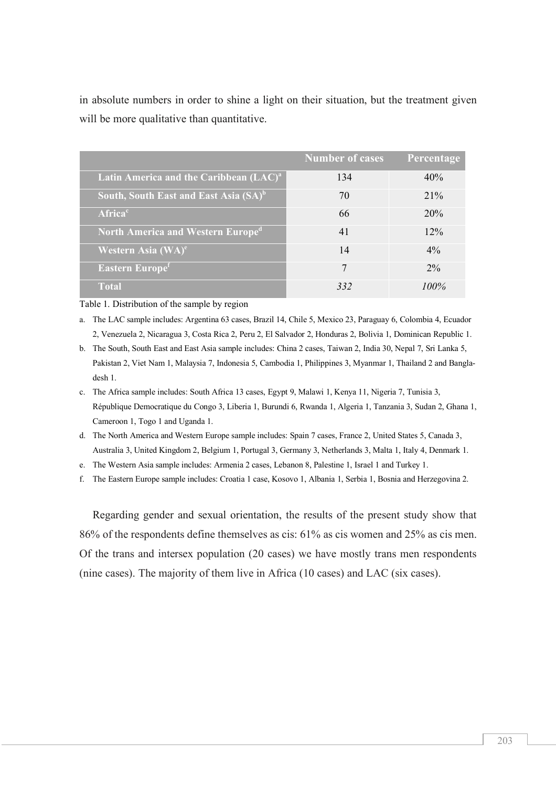in absolute numbers in order to shine a light on their situation, but the treatment given will be more qualitative than quantitative.

|                                                      | Number of cases | Percentage |
|------------------------------------------------------|-----------------|------------|
| Latin America and the Caribbean (LAC) <sup>a</sup>   | 134             | 40%        |
| South, South East and East Asia (SA) <sup>b</sup>    | 70              | 21%        |
| <b>Africa</b> <sup>c</sup>                           | 66              | 20%        |
| <b>North America and Western Europe</b> <sup>a</sup> | 41              | 12%        |
| Western Asia (WA) <sup>e</sup>                       | 14              | $4\%$      |
| <b>Eastern Europe</b> <sup>f</sup>                   | 7               | $2\%$      |
| <b>Total</b>                                         | 332             | $100\%$    |

Table 1. Distribution of the sample by region

- a. The LAC sample includes: Argentina 63 cases, Brazil 14, Chile 5, Mexico 23, Paraguay 6, Colombia 4, Ecuador 2, Venezuela 2, Nicaragua 3, Costa Rica 2, Peru 2, El Salvador 2, Honduras 2, Bolivia 1, Dominican Republic 1.
- b. The South, South East and East Asia sample includes: China 2 cases, Taiwan 2, India 30, Nepal 7, Sri Lanka 5, Pakistan 2, Viet Nam 1, Malaysia 7, Indonesia 5, Cambodia 1, Philippines 3, Myanmar 1, Thailand 2 and Bangladesh 1.
- c. The Africa sample includes: South Africa 13 cases, Egypt 9, Malawi 1, Kenya 11, Nigeria 7, Tunisia 3, République Democratique du Congo 3, Liberia 1, Burundi 6, Rwanda 1, Algeria 1, Tanzania 3, Sudan 2, Ghana 1, Cameroon 1, Togo 1 and Uganda 1.
- d. The North America and Western Europe sample includes: Spain 7 cases, France 2, United States 5, Canada 3, Australia 3, United Kingdom 2, Belgium 1, Portugal 3, Germany 3, Netherlands 3, Malta 1, Italy 4, Denmark 1.
- e. The Western Asia sample includes: Armenia 2 cases, Lebanon 8, Palestine 1, Israel 1 and Turkey 1.
- f. The Eastern Europe sample includes: Croatia 1 case, Kosovo 1, Albania 1, Serbia 1, Bosnia and Herzegovina 2.

Regarding gender and sexual orientation, the results of the present study show that 86% of the respondents define themselves as cis: 61% as cis women and 25% as cis men. Of the trans and intersex population (20 cases) we have mostly trans men respondents (nine cases). The majority of them live in Africa (10 cases) and LAC (six cases).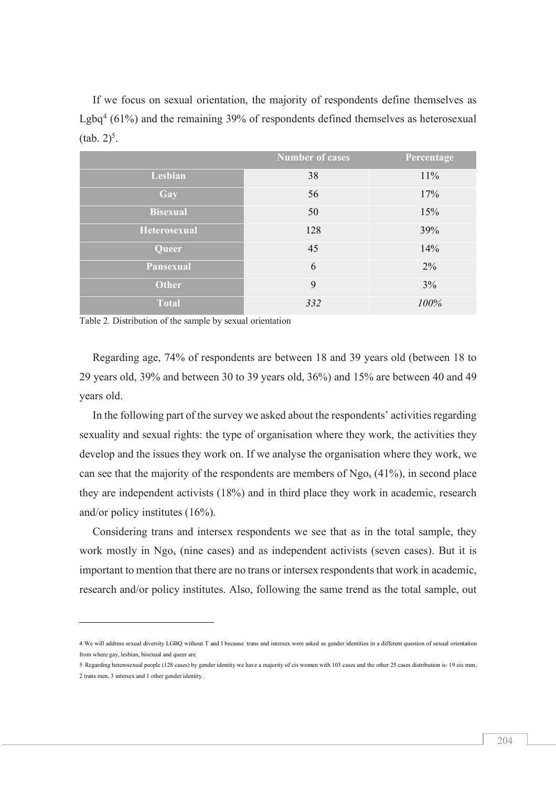If we focus on sexual orientation, the majority of respondents define themselves as Lgbq4 (61%) and the remaining 39% of respondents defined themselves as heterosexual  $(tab. 2)^5$ .

|                  | Number of cases | <b>Percentage</b> |
|------------------|-----------------|-------------------|
| Lesbian          | 38              | 11%               |
| Gay              | 56              | 17%               |
| <b>Bisexual</b>  | 50              | 15%               |
| Heterosexual     | 128             | 39%               |
| Queer            | 45              | 14%               |
| <b>Pansexual</b> | 6               | 2%                |
| <b>Other</b>     | 9               | 3%                |
| <b>Total</b>     | 332             | 100%              |

Table 2. Distribution of the sample by sexual orientation

 $\overline{a}$ 

Regarding age, 74% of respondents are between 18 and 39 years old (between 18 to 29 years old, 39% and between 30 to 39 years old, 36%) and 15% are between 40 and 49 years old.

In the following part of the survey we asked about the respondents' activities regarding sexuality and sexual rights: the type of organisation where they work, the activities they develop and the issues they work on. If we analyse the organisation where they work, we can see that the majority of the respondents are members of  $Ng_{0s}$  (41%), in second place they are independent activists (18%) and in third place they work in academic, research and/or policy institutes (16%).

Considering trans and intersex respondents we see that as in the total sample, they work mostly in Ngos (nine cases) and as independent activists (seven cases). But it is important to mention that there are no trans or intersex respondents that work in academic, research and/or policy institutes. Also, following the same trend as the total sample, out

<sup>4</sup> We will address sexual diversity LGBQ without T and I because trans and intersex were asked as gender identities in a different question of sexual orientation from where gay, lesbian, bisexual and queer are.

<sup>5</sup> Regarding heterosexual people (128 cases) by gender identity we have a majority of cis women with 103 cases and the other 25 cases distribution is: 19 cis men, 2 trans men, 3 intersex and 1 other gender identity.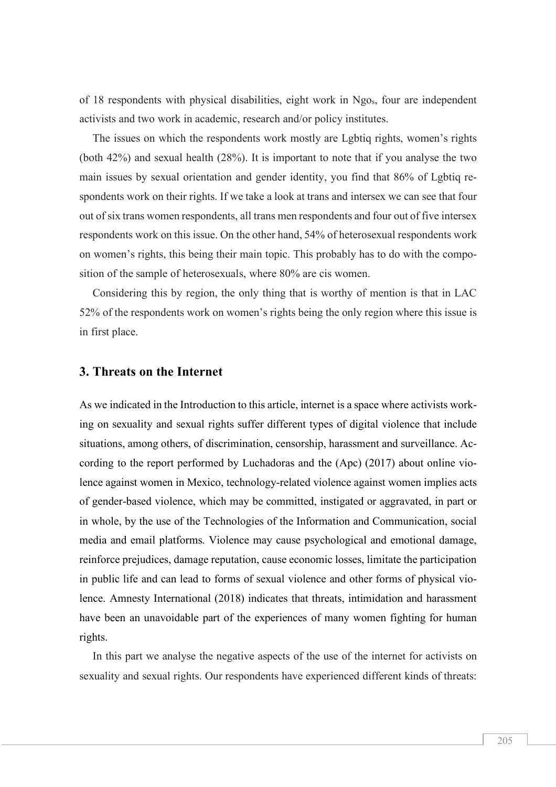of 18 respondents with physical disabilities, eight work in Ngos, four are independent activists and two work in academic, research and/or policy institutes.

The issues on which the respondents work mostly are Lgbtiq rights, women's rights (both 42%) and sexual health (28%). It is important to note that if you analyse the two main issues by sexual orientation and gender identity, you find that 86% of Lgbtiq respondents work on their rights. If we take a look at trans and intersex we can see that four out of six trans women respondents, all trans men respondents and four out of five intersex respondents work on this issue. On the other hand, 54% of heterosexual respondents work on women's rights, this being their main topic. This probably has to do with the composition of the sample of heterosexuals, where 80% are cis women.

Considering this by region, the only thing that is worthy of mention is that in LAC 52% of the respondents work on women's rights being the only region where this issue is in first place.

### **3. Threats on the Internet**

As we indicated in the Introduction to this article, internet is a space where activists working on sexuality and sexual rights suffer different types of digital violence that include situations, among others, of discrimination, censorship, harassment and surveillance. According to the report performed by Luchadoras and the (Apc) (2017) about online violence against women in Mexico, technology-related violence against women implies acts of gender-based violence, which may be committed, instigated or aggravated, in part or in whole, by the use of the Technologies of the Information and Communication, social media and email platforms. Violence may cause psychological and emotional damage, reinforce prejudices, damage reputation, cause economic losses, limitate the participation in public life and can lead to forms of sexual violence and other forms of physical violence. Amnesty International (2018) indicates that threats, intimidation and harassment have been an unavoidable part of the experiences of many women fighting for human rights.

In this part we analyse the negative aspects of the use of the internet for activists on sexuality and sexual rights. Our respondents have experienced different kinds of threats: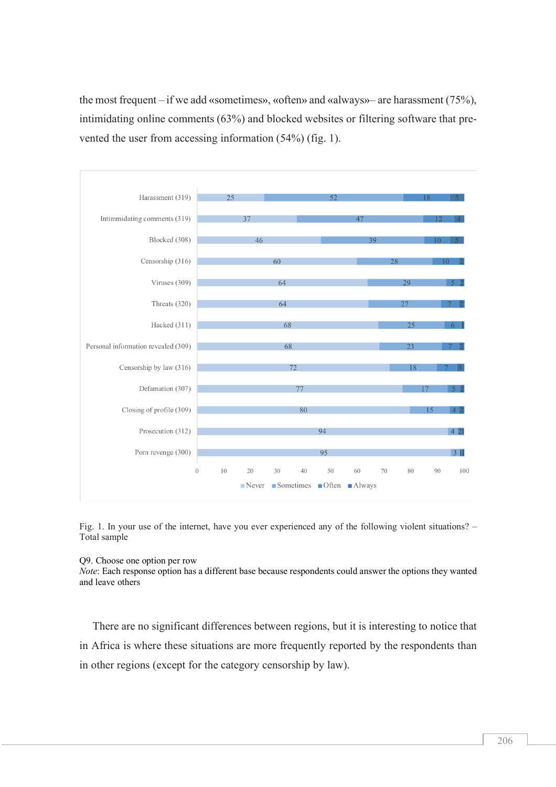the most frequent – if we add «sometimes», «often» and «always»– are harassment (75%), intimidating online comments (63%) and blocked websites or filtering software that prevented the user from accessing information (54%) (fig. 1).



Fig. 1. In your use of the internet, have you ever experienced any of the following violent situations? – Total sample

### Q9. Choose one option per row

*Note*: Each response option has a different base because respondents could answer the options they wanted and leave others

There are no significant differences between regions, but it is interesting to notice that in Africa is where these situations are more frequently reported by the respondents than in other regions (except for the category censorship by law).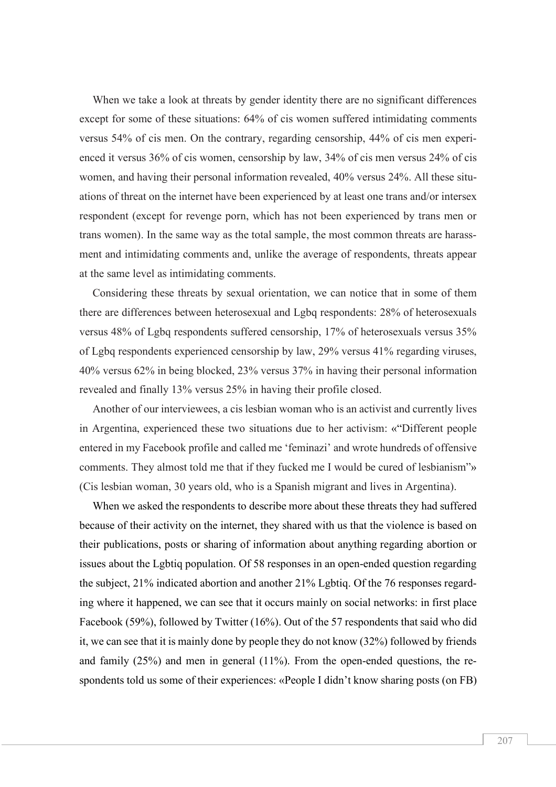When we take a look at threats by gender identity there are no significant differences except for some of these situations: 64% of cis women suffered intimidating comments versus 54% of cis men. On the contrary, regarding censorship, 44% of cis men experienced it versus 36% of cis women, censorship by law, 34% of cis men versus 24% of cis women, and having their personal information revealed, 40% versus 24%. All these situations of threat on the internet have been experienced by at least one trans and/or intersex respondent (except for revenge porn, which has not been experienced by trans men or trans women). In the same way as the total sample, the most common threats are harassment and intimidating comments and, unlike the average of respondents, threats appear at the same level as intimidating comments.

Considering these threats by sexual orientation, we can notice that in some of them there are differences between heterosexual and Lgbq respondents: 28% of heterosexuals versus 48% of Lgbq respondents suffered censorship, 17% of heterosexuals versus 35% of Lgbq respondents experienced censorship by law, 29% versus 41% regarding viruses, 40% versus 62% in being blocked, 23% versus 37% in having their personal information revealed and finally 13% versus 25% in having their profile closed.

Another of our interviewees, a cis lesbian woman who is an activist and currently lives in Argentina, experienced these two situations due to her activism: «"Different people entered in my Facebook profile and called me 'feminazi' and wrote hundreds of offensive comments. They almost told me that if they fucked me I would be cured of lesbianism"» (Cis lesbian woman, 30 years old, who is a Spanish migrant and lives in Argentina).

When we asked the respondents to describe more about these threats they had suffered because of their activity on the internet, they shared with us that the violence is based on their publications, posts or sharing of information about anything regarding abortion or issues about the Lgbtiq population. Of 58 responses in an open-ended question regarding the subject, 21% indicated abortion and another 21% Lgbtiq. Of the 76 responses regarding where it happened, we can see that it occurs mainly on social networks: in first place Facebook (59%), followed by Twitter (16%). Out of the 57 respondents that said who did it, we can see that it is mainly done by people they do not know (32%) followed by friends and family (25%) and men in general (11%). From the open-ended questions, the respondents told us some of their experiences: «People I didn't know sharing posts (on FB)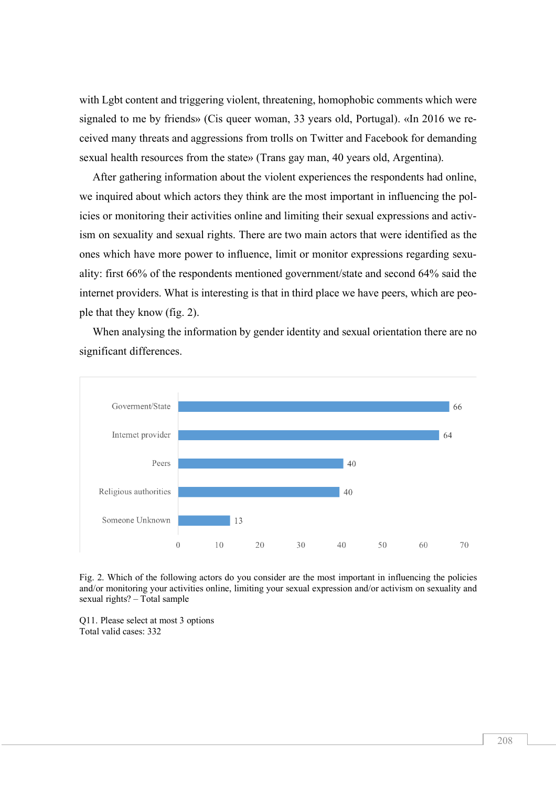with Lgbt content and triggering violent, threatening, homophobic comments which were signaled to me by friends» (Cis queer woman, 33 years old, Portugal). «In 2016 we received many threats and aggressions from trolls on Twitter and Facebook for demanding sexual health resources from the state» (Trans gay man, 40 years old, Argentina).

After gathering information about the violent experiences the respondents had online, we inquired about which actors they think are the most important in influencing the policies or monitoring their activities online and limiting their sexual expressions and activism on sexuality and sexual rights. There are two main actors that were identified as the ones which have more power to influence, limit or monitor expressions regarding sexuality: first 66% of the respondents mentioned government/state and second 64% said the internet providers. What is interesting is that in third place we have peers, which are people that they know (fig. 2).

When analysing the information by gender identity and sexual orientation there are no significant differences.



Fig. 2. Which of the following actors do you consider are the most important in influencing the policies and/or monitoring your activities online, limiting your sexual expression and/or activism on sexuality and sexual rights? – Total sample

Q11. Please select at most 3 options Total valid cases: 332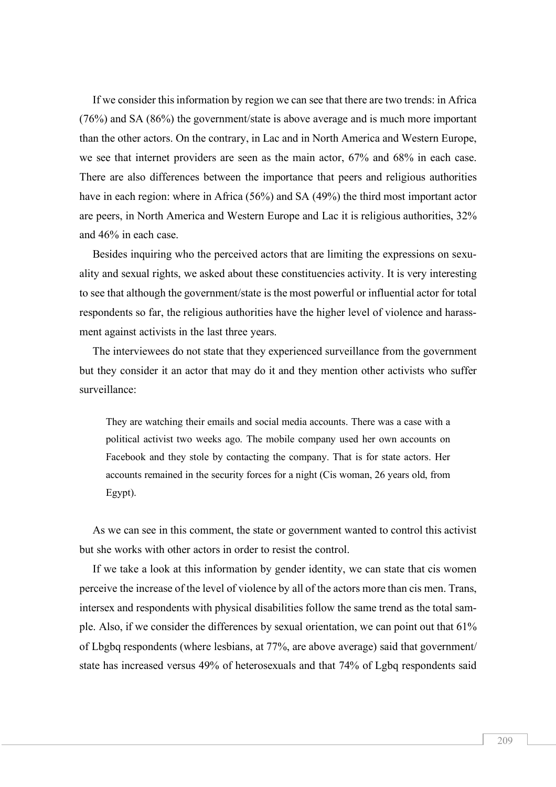If we consider this information by region we can see that there are two trends: in Africa (76%) and SA (86%) the government/state is above average and is much more important than the other actors. On the contrary, in Lac and in North America and Western Europe, we see that internet providers are seen as the main actor, 67% and 68% in each case. There are also differences between the importance that peers and religious authorities have in each region: where in Africa (56%) and SA (49%) the third most important actor are peers, in North America and Western Europe and Lac it is religious authorities, 32% and 46% in each case.

Besides inquiring who the perceived actors that are limiting the expressions on sexuality and sexual rights, we asked about these constituencies activity. It is very interesting to see that although the government/state is the most powerful or influential actor for total respondents so far, the religious authorities have the higher level of violence and harassment against activists in the last three years.

The interviewees do not state that they experienced surveillance from the government but they consider it an actor that may do it and they mention other activists who suffer surveillance:

They are watching their emails and social media accounts. There was a case with a political activist two weeks ago. The mobile company used her own accounts on Facebook and they stole by contacting the company. That is for state actors. Her accounts remained in the security forces for a night (Cis woman, 26 years old, from Egypt).

As we can see in this comment, the state or government wanted to control this activist but she works with other actors in order to resist the control.

If we take a look at this information by gender identity, we can state that cis women perceive the increase of the level of violence by all of the actors more than cis men. Trans, intersex and respondents with physical disabilities follow the same trend as the total sample. Also, if we consider the differences by sexual orientation, we can point out that 61% of Lbgbq respondents (where lesbians, at 77%, are above average) said that government/ state has increased versus 49% of heterosexuals and that 74% of Lgbq respondents said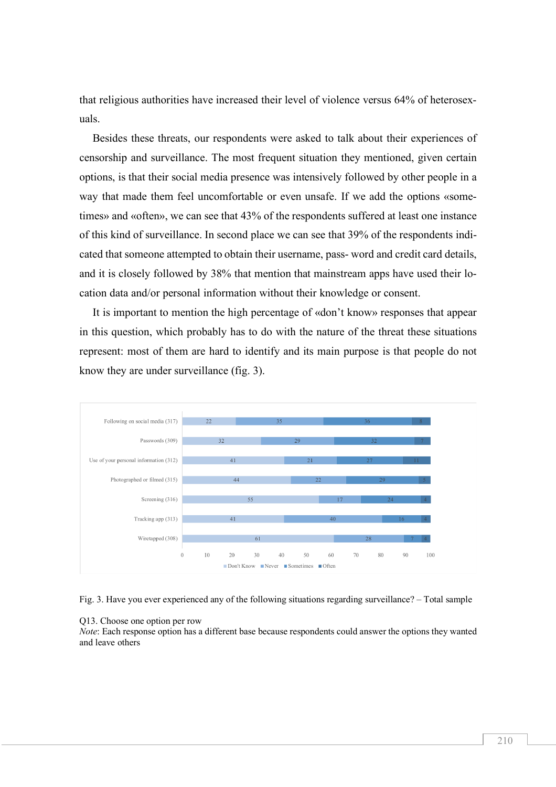that religious authorities have increased their level of violence versus 64% of heterosexuals.

Besides these threats, our respondents were asked to talk about their experiences of censorship and surveillance. The most frequent situation they mentioned, given certain options, is that their social media presence was intensively followed by other people in a way that made them feel uncomfortable or even unsafe. If we add the options «sometimes» and «often», we can see that 43% of the respondents suffered at least one instance of this kind of surveillance. In second place we can see that 39% of the respondents indicated that someone attempted to obtain their username, pass- word and credit card details, and it is closely followed by 38% that mention that mainstream apps have used their location data and/or personal information without their knowledge or consent.

It is important to mention the high percentage of «don't know» responses that appear in this question, which probably has to do with the nature of the threat these situations represent: most of them are hard to identify and its main purpose is that people do not know they are under surveillance (fig. 3).





#### Q13. Choose one option per row

*Note*: Each response option has a different base because respondents could answer the options they wanted and leave others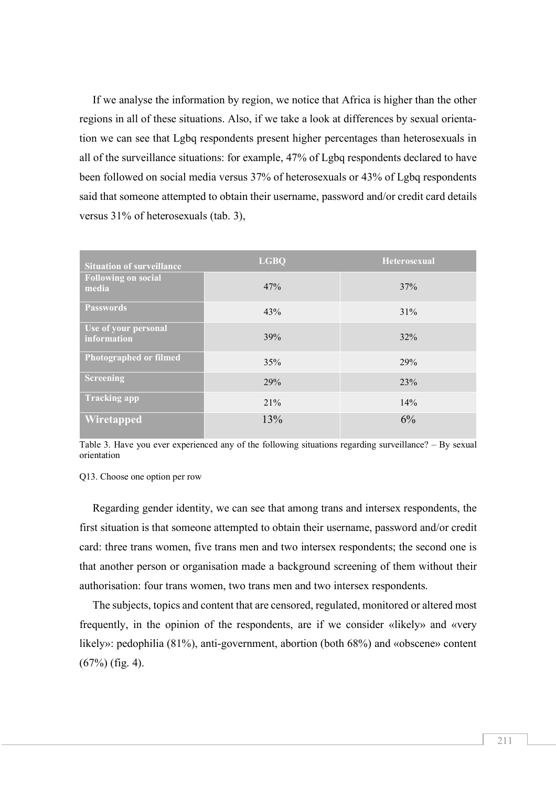If we analyse the information by region, we notice that Africa is higher than the other regions in all of these situations. Also, if we take a look at differences by sexual orientation we can see that Lgbq respondents present higher percentages than heterosexuals in all of the surveillance situations: for example, 47% of Lgbq respondents declared to have been followed on social media versus 37% of heterosexuals or 43% of Lgbq respondents said that someone attempted to obtain their username, password and/or credit card details versus 31% of heterosexuals (tab. 3),

| <b>Situation of surveillance</b>    | <b>LGBQ</b> | Heterosexual |
|-------------------------------------|-------------|--------------|
| <b>Following on social</b><br>media | 47%         | 37%          |
| <b>Passwords</b>                    | 43%         | 31%          |
| Use of your personal<br>information | 39%         | 32%          |
| Photographed or filmed              | 35%         | 29%          |
| <b>Screening</b>                    | 29%         | 23%          |
| <b>Tracking app</b>                 | 21%         | 14%          |
| Wiretapped                          | 13%         | 6%           |

Table 3. Have you ever experienced any of the following situations regarding surveillance? – By sexual orientation

Q13. Choose one option per row

Regarding gender identity, we can see that among trans and intersex respondents, the first situation is that someone attempted to obtain their username, password and/or credit card: three trans women, five trans men and two intersex respondents; the second one is that another person or organisation made a background screening of them without their authorisation: four trans women, two trans men and two intersex respondents.

The subjects, topics and content that are censored, regulated, monitored or altered most frequently, in the opinion of the respondents, are if we consider «likely» and «very likely»: pedophilia (81%), anti-government, abortion (both 68%) and «obscene» content (67%) (fig. 4).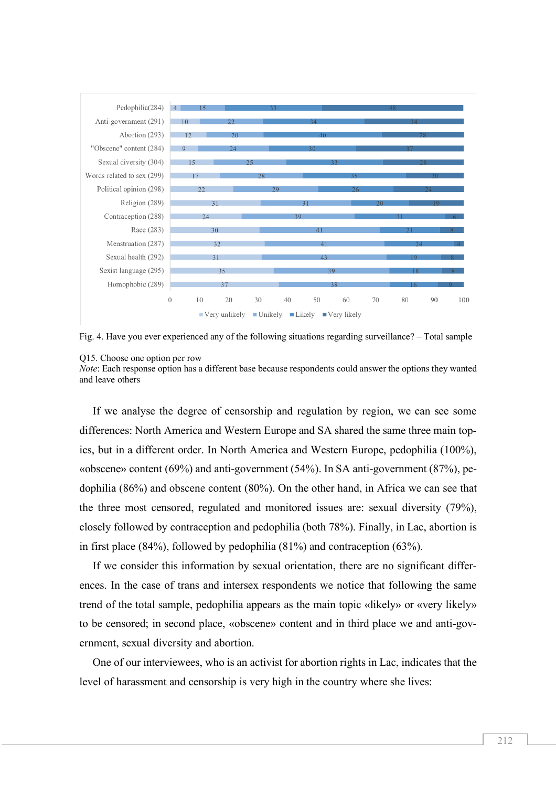

Fig. 4. Have you ever experienced any of the following situations regarding surveillance? – Total sample

#### Q15. Choose one option per row

*Note*: Each response option has a different base because respondents could answer the options they wanted and leave others

If we analyse the degree of censorship and regulation by region, we can see some differences: North America and Western Europe and SA shared the same three main topics, but in a different order. In North America and Western Europe, pedophilia (100%), «obscene» content (69%) and anti-government (54%). In SA anti-government (87%), pedophilia (86%) and obscene content (80%). On the other hand, in Africa we can see that the three most censored, regulated and monitored issues are: sexual diversity (79%), closely followed by contraception and pedophilia (both 78%). Finally, in Lac, abortion is in first place (84%), followed by pedophilia (81%) and contraception (63%).

If we consider this information by sexual orientation, there are no significant differences. In the case of trans and intersex respondents we notice that following the same trend of the total sample, pedophilia appears as the main topic «likely» or «very likely» to be censored; in second place, «obscene» content and in third place we and anti-government, sexual diversity and abortion.

One of our interviewees, who is an activist for abortion rights in Lac, indicates that the level of harassment and censorship is very high in the country where she lives: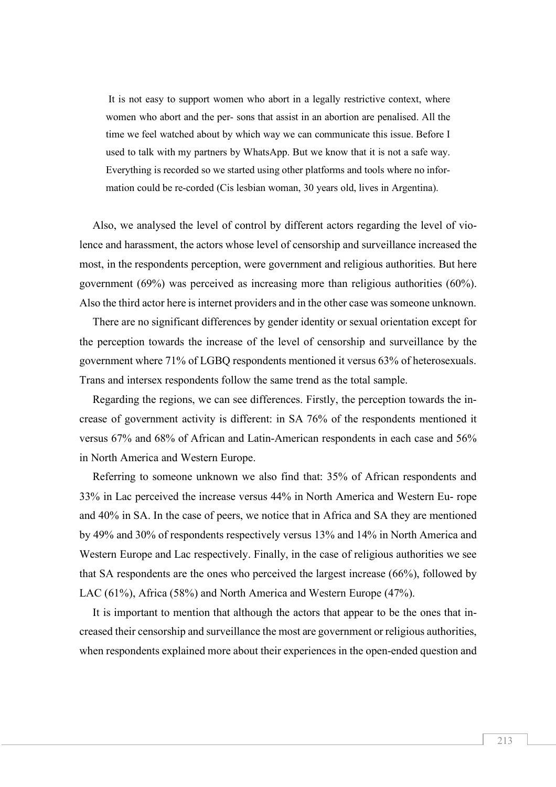It is not easy to support women who abort in a legally restrictive context, where women who abort and the per- sons that assist in an abortion are penalised. All the time we feel watched about by which way we can communicate this issue. Before I used to talk with my partners by WhatsApp. But we know that it is not a safe way. Everything is recorded so we started using other platforms and tools where no information could be re-corded (Cis lesbian woman, 30 years old, lives in Argentina).

Also, we analysed the level of control by different actors regarding the level of violence and harassment, the actors whose level of censorship and surveillance increased the most, in the respondents perception, were government and religious authorities. But here government (69%) was perceived as increasing more than religious authorities (60%). Also the third actor here is internet providers and in the other case was someone unknown.

There are no significant differences by gender identity or sexual orientation except for the perception towards the increase of the level of censorship and surveillance by the government where 71% of LGBQ respondents mentioned it versus 63% of heterosexuals. Trans and intersex respondents follow the same trend as the total sample.

Regarding the regions, we can see differences. Firstly, the perception towards the increase of government activity is different: in SA 76% of the respondents mentioned it versus 67% and 68% of African and Latin-American respondents in each case and 56% in North America and Western Europe.

Referring to someone unknown we also find that: 35% of African respondents and 33% in Lac perceived the increase versus 44% in North America and Western Eu- rope and 40% in SA. In the case of peers, we notice that in Africa and SA they are mentioned by 49% and 30% of respondents respectively versus 13% and 14% in North America and Western Europe and Lac respectively. Finally, in the case of religious authorities we see that SA respondents are the ones who perceived the largest increase (66%), followed by LAC (61%), Africa (58%) and North America and Western Europe (47%).

It is important to mention that although the actors that appear to be the ones that increased their censorship and surveillance the most are government or religious authorities, when respondents explained more about their experiences in the open-ended question and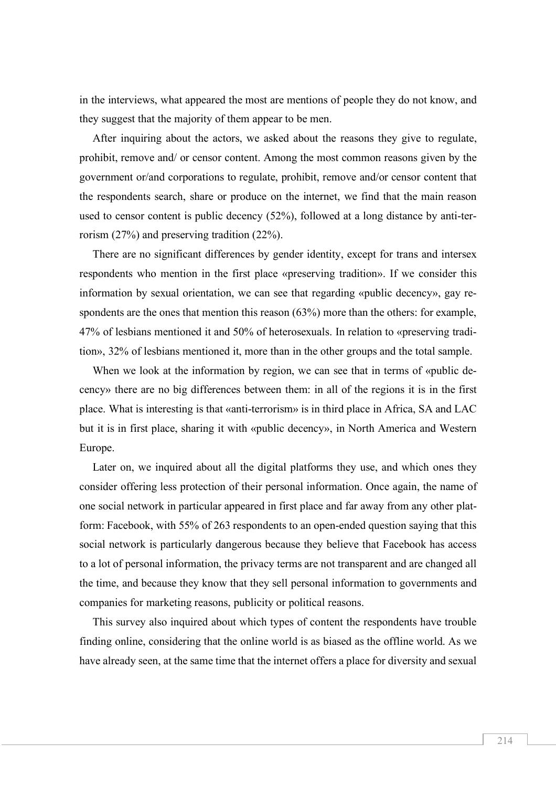in the interviews, what appeared the most are mentions of people they do not know, and they suggest that the majority of them appear to be men.

After inquiring about the actors, we asked about the reasons they give to regulate, prohibit, remove and/ or censor content. Among the most common reasons given by the government or/and corporations to regulate, prohibit, remove and/or censor content that the respondents search, share or produce on the internet, we find that the main reason used to censor content is public decency (52%), followed at a long distance by anti-terrorism (27%) and preserving tradition (22%).

There are no significant differences by gender identity, except for trans and intersex respondents who mention in the first place «preserving tradition». If we consider this information by sexual orientation, we can see that regarding «public decency», gay respondents are the ones that mention this reason (63%) more than the others: for example, 47% of lesbians mentioned it and 50% of heterosexuals. In relation to «preserving tradition», 32% of lesbians mentioned it, more than in the other groups and the total sample.

When we look at the information by region, we can see that in terms of «public decency» there are no big differences between them: in all of the regions it is in the first place. What is interesting is that «anti-terrorism» is in third place in Africa, SA and LAC but it is in first place, sharing it with «public decency», in North America and Western Europe.

Later on, we inquired about all the digital platforms they use, and which ones they consider offering less protection of their personal information. Once again, the name of one social network in particular appeared in first place and far away from any other platform: Facebook, with 55% of 263 respondents to an open-ended question saying that this social network is particularly dangerous because they believe that Facebook has access to a lot of personal information, the privacy terms are not transparent and are changed all the time, and because they know that they sell personal information to governments and companies for marketing reasons, publicity or political reasons.

This survey also inquired about which types of content the respondents have trouble finding online, considering that the online world is as biased as the offline world. As we have already seen, at the same time that the internet offers a place for diversity and sexual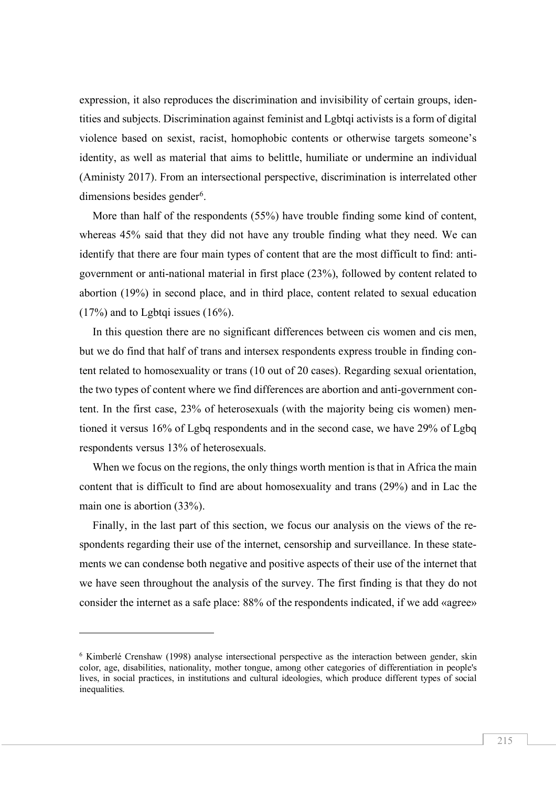expression, it also reproduces the discrimination and invisibility of certain groups, identities and subjects. Discrimination against feminist and Lgbtqi activists is a form of digital violence based on sexist, racist, homophobic contents or otherwise targets someone's identity, as well as material that aims to belittle, humiliate or undermine an individual (Aministy 2017). From an intersectional perspective, discrimination is interrelated other dimensions besides gender<sup>6</sup>.

More than half of the respondents (55%) have trouble finding some kind of content, whereas 45% said that they did not have any trouble finding what they need. We can identify that there are four main types of content that are the most difficult to find: antigovernment or anti-national material in first place (23%), followed by content related to abortion (19%) in second place, and in third place, content related to sexual education  $(17\%)$  and to Lgbtqi issues  $(16\%)$ .

In this question there are no significant differences between cis women and cis men, but we do find that half of trans and intersex respondents express trouble in finding content related to homosexuality or trans (10 out of 20 cases). Regarding sexual orientation, the two types of content where we find differences are abortion and anti-government content. In the first case, 23% of heterosexuals (with the majority being cis women) mentioned it versus 16% of Lgbq respondents and in the second case, we have 29% of Lgbq respondents versus 13% of heterosexuals.

When we focus on the regions, the only things worth mention is that in Africa the main content that is difficult to find are about homosexuality and trans (29%) and in Lac the main one is abortion (33%).

Finally, in the last part of this section, we focus our analysis on the views of the respondents regarding their use of the internet, censorship and surveillance. In these statements we can condense both negative and positive aspects of their use of the internet that we have seen throughout the analysis of the survey. The first finding is that they do not consider the internet as a safe place: 88% of the respondents indicated, if we add «agree»

 $\overline{a}$ 

<sup>6</sup> Kimberlé Crenshaw (1998) analyse intersectional perspective as the interaction between gender, skin color, age, disabilities, nationality, mother tongue, among other categories of differentiation in people's lives, in social practices, in institutions and cultural ideologies, which produce different types of social inequalities.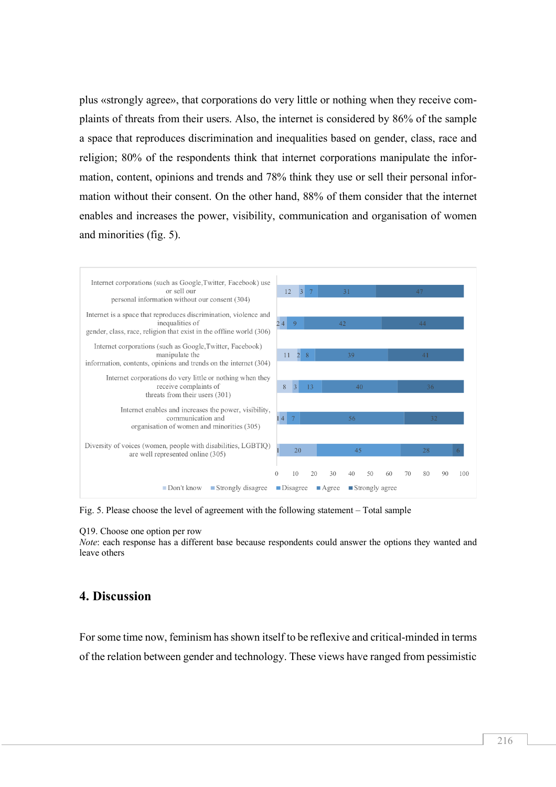plus «strongly agree», that corporations do very little or nothing when they receive complaints of threats from their users. Also, the internet is considered by 86% of the sample a space that reproduces discrimination and inequalities based on gender, class, race and religion; 80% of the respondents think that internet corporations manipulate the information, content, opinions and trends and 78% think they use or sell their personal information without their consent. On the other hand, 88% of them consider that the internet enables and increases the power, visibility, communication and organisation of women and minorities (fig. 5).



Fig. 5. Please choose the level of agreement with the following statement – Total sample

#### Q19. Choose one option per row

*Note*: each response has a different base because respondents could answer the options they wanted and leave others

### **4. Discussion**

For some time now, feminism has shown itself to be reflexive and critical-minded in terms of the relation between gender and technology. These views have ranged from pessimistic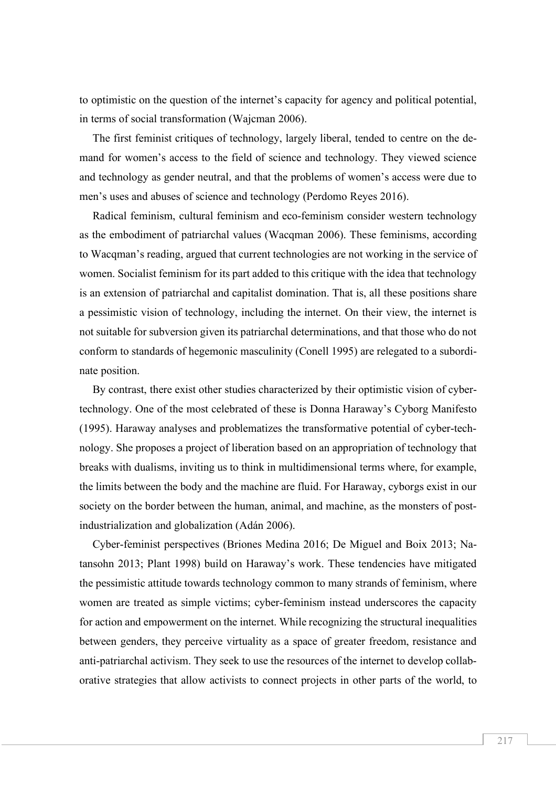to optimistic on the question of the internet's capacity for agency and political potential, in terms of social transformation (Wajcman 2006).

The first feminist critiques of technology, largely liberal, tended to centre on the demand for women's access to the field of science and technology. They viewed science and technology as gender neutral, and that the problems of women's access were due to men's uses and abuses of science and technology (Perdomo Reyes 2016).

Radical feminism, cultural feminism and eco-feminism consider western technology as the embodiment of patriarchal values (Wacqman 2006). These feminisms, according to Wacqman's reading, argued that current technologies are not working in the service of women. Socialist feminism for its part added to this critique with the idea that technology is an extension of patriarchal and capitalist domination. That is, all these positions share a pessimistic vision of technology, including the internet. On their view, the internet is not suitable for subversion given its patriarchal determinations, and that those who do not conform to standards of hegemonic masculinity (Conell 1995) are relegated to a subordinate position.

By contrast, there exist other studies characterized by their optimistic vision of cybertechnology. One of the most celebrated of these is Donna Haraway's Cyborg Manifesto (1995). Haraway analyses and problematizes the transformative potential of cyber-technology. She proposes a project of liberation based on an appropriation of technology that breaks with dualisms, inviting us to think in multidimensional terms where, for example, the limits between the body and the machine are fluid. For Haraway, cyborgs exist in our society on the border between the human, animal, and machine, as the monsters of postindustrialization and globalization (Adán 2006).

Cyber-feminist perspectives (Briones Medina 2016; De Miguel and Boix 2013; Natansohn 2013; Plant 1998) build on Haraway's work. These tendencies have mitigated the pessimistic attitude towards technology common to many strands of feminism, where women are treated as simple victims; cyber-feminism instead underscores the capacity for action and empowerment on the internet. While recognizing the structural inequalities between genders, they perceive virtuality as a space of greater freedom, resistance and anti-patriarchal activism. They seek to use the resources of the internet to develop collaborative strategies that allow activists to connect projects in other parts of the world, to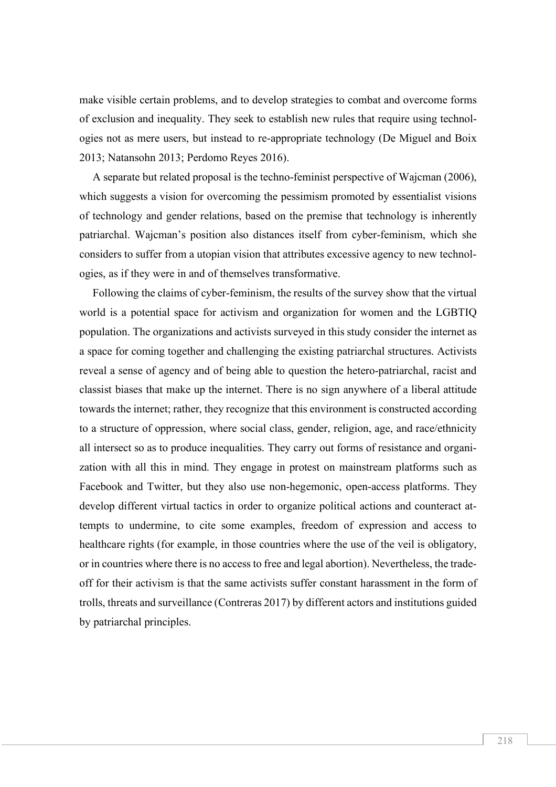make visible certain problems, and to develop strategies to combat and overcome forms of exclusion and inequality. They seek to establish new rules that require using technologies not as mere users, but instead to re-appropriate technology (De Miguel and Boix 2013; Natansohn 2013; Perdomo Reyes 2016).

A separate but related proposal is the techno-feminist perspective of Wajcman (2006), which suggests a vision for overcoming the pessimism promoted by essentialist visions of technology and gender relations, based on the premise that technology is inherently patriarchal. Wajcman's position also distances itself from cyber-feminism, which she considers to suffer from a utopian vision that attributes excessive agency to new technologies, as if they were in and of themselves transformative.

Following the claims of cyber-feminism, the results of the survey show that the virtual world is a potential space for activism and organization for women and the LGBTIQ population. The organizations and activists surveyed in this study consider the internet as a space for coming together and challenging the existing patriarchal structures. Activists reveal a sense of agency and of being able to question the hetero-patriarchal, racist and classist biases that make up the internet. There is no sign anywhere of a liberal attitude towards the internet; rather, they recognize that this environment is constructed according to a structure of oppression, where social class, gender, religion, age, and race/ethnicity all intersect so as to produce inequalities. They carry out forms of resistance and organization with all this in mind. They engage in protest on mainstream platforms such as Facebook and Twitter, but they also use non-hegemonic, open-access platforms. They develop different virtual tactics in order to organize political actions and counteract attempts to undermine, to cite some examples, freedom of expression and access to healthcare rights (for example, in those countries where the use of the veil is obligatory, or in countries where there is no access to free and legal abortion). Nevertheless, the tradeoff for their activism is that the same activists suffer constant harassment in the form of trolls, threats and surveillance (Contreras 2017) by different actors and institutions guided by patriarchal principles.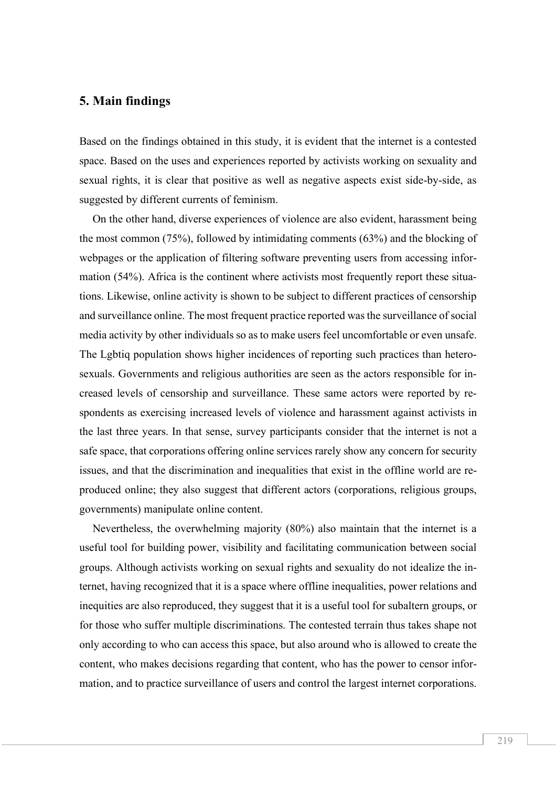## **5. Main findings**

Based on the findings obtained in this study, it is evident that the internet is a contested space. Based on the uses and experiences reported by activists working on sexuality and sexual rights, it is clear that positive as well as negative aspects exist side-by-side, as suggested by different currents of feminism.

On the other hand, diverse experiences of violence are also evident, harassment being the most common (75%), followed by intimidating comments (63%) and the blocking of webpages or the application of filtering software preventing users from accessing information (54%). Africa is the continent where activists most frequently report these situations. Likewise, online activity is shown to be subject to different practices of censorship and surveillance online. The most frequent practice reported was the surveillance of social media activity by other individuals so as to make users feel uncomfortable or even unsafe. The Lgbtiq population shows higher incidences of reporting such practices than heterosexuals. Governments and religious authorities are seen as the actors responsible for increased levels of censorship and surveillance. These same actors were reported by respondents as exercising increased levels of violence and harassment against activists in the last three years. In that sense, survey participants consider that the internet is not a safe space, that corporations offering online services rarely show any concern for security issues, and that the discrimination and inequalities that exist in the offline world are reproduced online; they also suggest that different actors (corporations, religious groups, governments) manipulate online content.

Nevertheless, the overwhelming majority (80%) also maintain that the internet is a useful tool for building power, visibility and facilitating communication between social groups. Although activists working on sexual rights and sexuality do not idealize the internet, having recognized that it is a space where offline inequalities, power relations and inequities are also reproduced, they suggest that it is a useful tool for subaltern groups, or for those who suffer multiple discriminations. The contested terrain thus takes shape not only according to who can access this space, but also around who is allowed to create the content, who makes decisions regarding that content, who has the power to censor information, and to practice surveillance of users and control the largest internet corporations.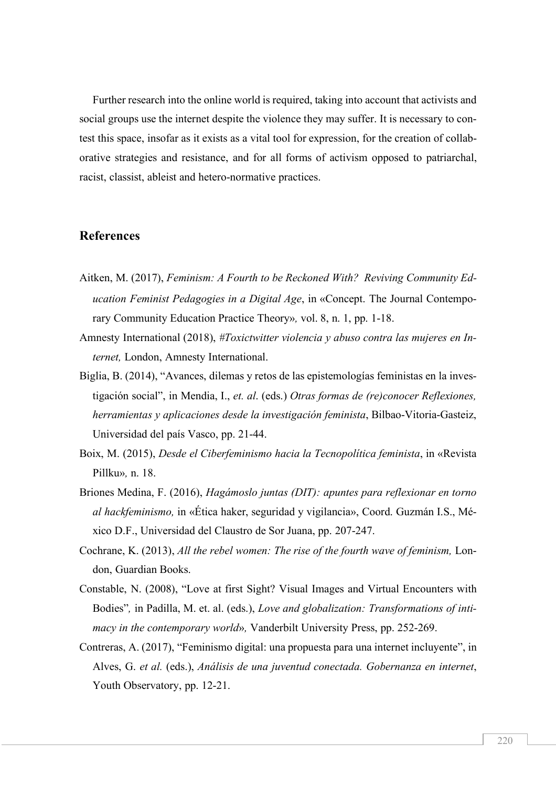Further research into the online world is required, taking into account that activists and social groups use the internet despite the violence they may suffer. It is necessary to contest this space, insofar as it exists as a vital tool for expression, for the creation of collaborative strategies and resistance, and for all forms of activism opposed to patriarchal, racist, classist, ableist and hetero-normative practices.

## **References**

- Aitken, M. (2017), *Feminism: A Fourth to be Reckoned With? Reviving Community Education Feminist Pedagogies in a Digital Age*, in «Concept. The Journal Contemporary Community Education Practice Theory»*,* vol. 8, n. 1, pp. 1-18.
- Amnesty International (2018), *#Toxictwitter violencia y abuso contra las mujeres en Internet,* London, Amnesty International.
- Biglia, B. (2014), "Avances, dilemas y retos de las epistemologías feministas en la investigación social", in Mendia, I., *et. al*. (eds.) *Otras formas de (re)conocer Reflexiones, herramientas y aplicaciones desde la investigación feminista*, Bilbao-Vitoria-Gasteiz, Universidad del país Vasco, pp. 21-44.
- Boix, M. (2015), *Desde el Ciberfeminismo hacia la Tecnopolítica feminista*, in «Revista Pillku»*,* n. 18.
- Briones Medina, F. (2016), *Hagámoslo juntas (DIT): apuntes para reflexionar en torno al hackfeminismo,* in «Ética haker, seguridad y vigilancia», Coord. Guzmán I.S., México D.F., Universidad del Claustro de Sor Juana, pp. 207-247.
- Cochrane, K. (2013), *All the rebel women: The rise of the fourth wave of feminism,* London, Guardian Books.
- Constable, N. (2008), "Love at first Sight? Visual Images and Virtual Encounters with Bodies"*,* in Padilla, M. et. al. (eds.), *Love and globalization: Transformations of intimacy in the contemporary world*»*,* Vanderbilt University Press, pp. 252-269.
- Contreras, A. (2017), "Feminismo digital: una propuesta para una internet incluyente", in Alves, G. *et al.* (eds.), *Análisis de una juventud conectada. Gobernanza en internet*, Youth Observatory, pp. 12-21.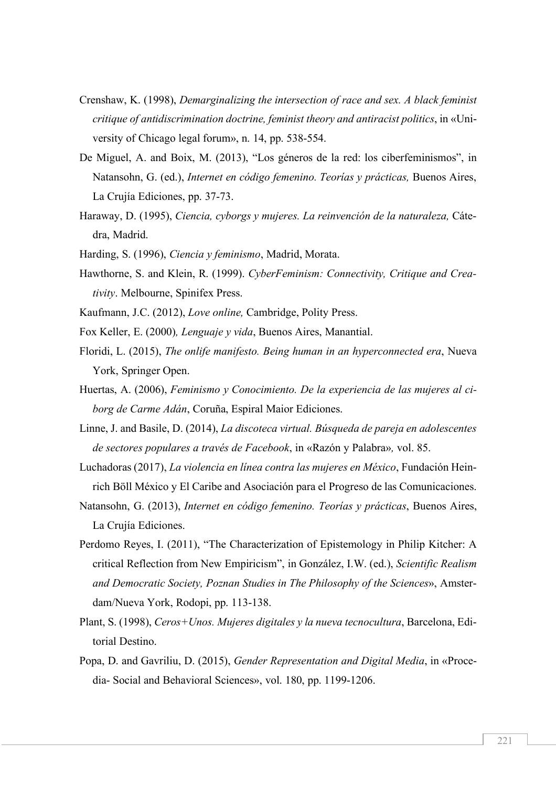- Crenshaw, K. (1998), *Demarginalizing the intersection of race and sex. A black feminist critique of antidiscrimination doctrine, feminist theory and antiracist politics*, in «University of Chicago legal forum», n. 14, pp. 538-554.
- De Miguel, A. and Boix, M. (2013), "Los géneros de la red: los ciberfeminismos", in Natansohn, G. (ed.), *Internet en código femenino. Teorías y prácticas,* Buenos Aires, La Crujía Ediciones, pp. 37-73.
- Haraway, D. (1995), *Ciencia, cyborgs y mujeres. La reinvención de la naturaleza,* Cátedra, Madrid.
- Harding, S. (1996), *Ciencia y feminismo*, Madrid, Morata.
- Hawthorne, S. and Klein, R. (1999). *CyberFeminism: Connectivity, Critique and Creativity*. Melbourne, Spinifex Press.
- Kaufmann, J.C. (2012), *Love online,* Cambridge, Polity Press.
- Fox Keller, E. (2000)*, Lenguaje y vida*, Buenos Aires, Manantial.
- Floridi, L. (2015), *The onlife manifesto. Being human in an hyperconnected era*, Nueva York, Springer Open.
- Huertas, A. (2006), *Feminismo y Conocimiento. De la experiencia de las mujeres al ciborg de Carme Adán*, Coruña, Espiral Maior Ediciones.
- Linne, J. and Basile, D. (2014), *La discoteca virtual. Búsqueda de pareja en adolescentes de sectores populares a través de Facebook*, in «Razón y Palabra»*,* vol. 85.
- Luchadoras (2017), *La violencia en línea contra las mujeres en México*, Fundación Heinrich Böll México y El Caribe and Asociación para el Progreso de las Comunicaciones.
- Natansohn, G. (2013), *Internet en código femenino. Teorías y prácticas*, Buenos Aires, La Crujía Ediciones.
- Perdomo Reyes, I. (2011), "The Characterization of Epistemology in Philip Kitcher: A critical Reflection from New Empiricism", in González, I.W. (ed.), *Scientific Realism and Democratic Society, Poznan Studies in The Philosophy of the Sciences*», Amsterdam/Nueva York, Rodopi, pp. 113-138.
- Plant, S. (1998), *Ceros+Unos. Mujeres digitales y la nueva tecnocultura*, Barcelona, Editorial Destino.
- Popa, D. and Gavriliu, D. (2015), *Gender Representation and Digital Media*, in «Procedia- Social and Behavioral Sciences», vol. 180, pp. 1199-1206.